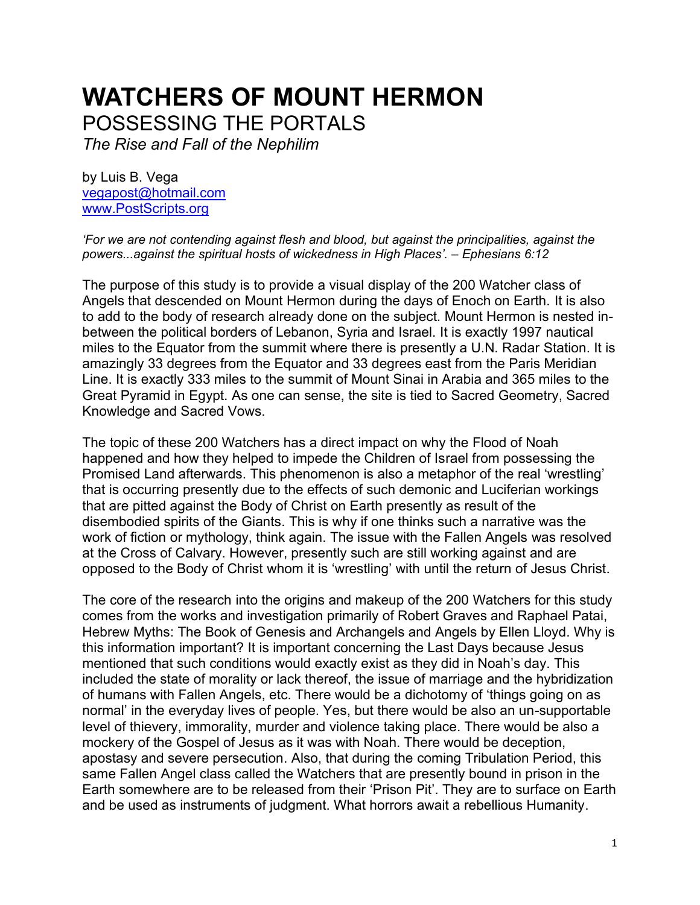# **WATCHERS OF MOUNT HERMON** POSSESSING THE PORTALS

*The Rise and Fall of the Nephilim*

by Luis B. Vega [vegapost@hotmail.com](mailto:vegapost@hotmail.com) [www.PostScripts.org](http://www.postscripts.org/)

*'For we are not contending against flesh and blood, but against the principalities, against the powers...against the spiritual hosts of wickedness in High Places'. – Ephesians 6:12*

The purpose of this study is to provide a visual display of the 200 Watcher class of Angels that descended on Mount Hermon during the days of Enoch on Earth. It is also to add to the body of research already done on the subject. Mount Hermon is nested inbetween the political borders of Lebanon, Syria and Israel. It is exactly 1997 nautical miles to the Equator from the summit where there is presently a U.N. Radar Station. It is amazingly 33 degrees from the Equator and 33 degrees east from the Paris Meridian Line. It is exactly 333 miles to the summit of Mount Sinai in Arabia and 365 miles to the Great Pyramid in Egypt. As one can sense, the site is tied to Sacred Geometry, Sacred Knowledge and Sacred Vows.

The topic of these 200 Watchers has a direct impact on why the Flood of Noah happened and how they helped to impede the Children of Israel from possessing the Promised Land afterwards. This phenomenon is also a metaphor of the real 'wrestling' that is occurring presently due to the effects of such demonic and Luciferian workings that are pitted against the Body of Christ on Earth presently as result of the disembodied spirits of the Giants. This is why if one thinks such a narrative was the work of fiction or mythology, think again. The issue with the Fallen Angels was resolved at the Cross of Calvary. However, presently such are still working against and are opposed to the Body of Christ whom it is 'wrestling' with until the return of Jesus Christ.

The core of the research into the origins and makeup of the 200 Watchers for this study comes from the works and investigation primarily of Robert Graves and Raphael Patai, Hebrew Myths: The Book of Genesis and Archangels and Angels by Ellen Lloyd. Why is this information important? It is important concerning the Last Days because Jesus mentioned that such conditions would exactly exist as they did in Noah's day. This included the state of morality or lack thereof, the issue of marriage and the hybridization of humans with Fallen Angels, etc. There would be a dichotomy of 'things going on as normal' in the everyday lives of people. Yes, but there would be also an un-supportable level of thievery, immorality, murder and violence taking place. There would be also a mockery of the Gospel of Jesus as it was with Noah. There would be deception, apostasy and severe persecution. Also, that during the coming Tribulation Period, this same Fallen Angel class called the Watchers that are presently bound in prison in the Earth somewhere are to be released from their 'Prison Pit'. They are to surface on Earth and be used as instruments of judgment. What horrors await a rebellious Humanity.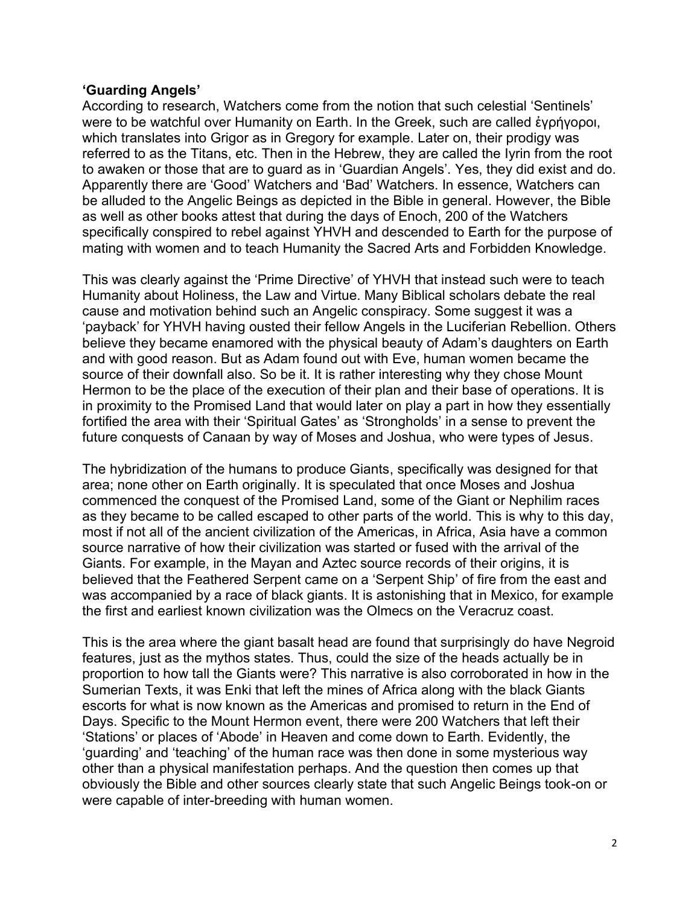#### **'Guarding Angels'**

According to research, Watchers come from the notion that such celestial 'Sentinels' were to be watchful over Humanity on Earth. In the Greek, such are called ἐγρήγοροι, which translates into Grigor as in Gregory for example. Later on, their prodigy was referred to as the Titans, etc. Then in the Hebrew, they are called the Iyrin from the root to awaken or those that are to guard as in 'Guardian Angels'. Yes, they did exist and do. Apparently there are 'Good' Watchers and 'Bad' Watchers. In essence, Watchers can be alluded to the Angelic Beings as depicted in the Bible in general. However, the Bible as well as other books attest that during the days of Enoch, 200 of the Watchers specifically conspired to rebel against YHVH and descended to Earth for the purpose of mating with women and to teach Humanity the Sacred Arts and Forbidden Knowledge.

This was clearly against the 'Prime Directive' of YHVH that instead such were to teach Humanity about Holiness, the Law and Virtue. Many Biblical scholars debate the real cause and motivation behind such an Angelic conspiracy. Some suggest it was a 'payback' for YHVH having ousted their fellow Angels in the Luciferian Rebellion. Others believe they became enamored with the physical beauty of Adam's daughters on Earth and with good reason. But as Adam found out with Eve, human women became the source of their downfall also. So be it. It is rather interesting why they chose Mount Hermon to be the place of the execution of their plan and their base of operations. It is in proximity to the Promised Land that would later on play a part in how they essentially fortified the area with their 'Spiritual Gates' as 'Strongholds' in a sense to prevent the future conquests of Canaan by way of Moses and Joshua, who were types of Jesus.

The hybridization of the humans to produce Giants, specifically was designed for that area; none other on Earth originally. It is speculated that once Moses and Joshua commenced the conquest of the Promised Land, some of the Giant or Nephilim races as they became to be called escaped to other parts of the world. This is why to this day, most if not all of the ancient civilization of the Americas, in Africa, Asia have a common source narrative of how their civilization was started or fused with the arrival of the Giants. For example, in the Mayan and Aztec source records of their origins, it is believed that the Feathered Serpent came on a 'Serpent Ship' of fire from the east and was accompanied by a race of black giants. It is astonishing that in Mexico, for example the first and earliest known civilization was the Olmecs on the Veracruz coast.

This is the area where the giant basalt head are found that surprisingly do have Negroid features, just as the mythos states. Thus, could the size of the heads actually be in proportion to how tall the Giants were? This narrative is also corroborated in how in the Sumerian Texts, it was Enki that left the mines of Africa along with the black Giants escorts for what is now known as the Americas and promised to return in the End of Days. Specific to the Mount Hermon event, there were 200 Watchers that left their 'Stations' or places of 'Abode' in Heaven and come down to Earth. Evidently, the 'guarding' and 'teaching' of the human race was then done in some mysterious way other than a physical manifestation perhaps. And the question then comes up that obviously the Bible and other sources clearly state that such Angelic Beings took-on or were capable of inter-breeding with human women.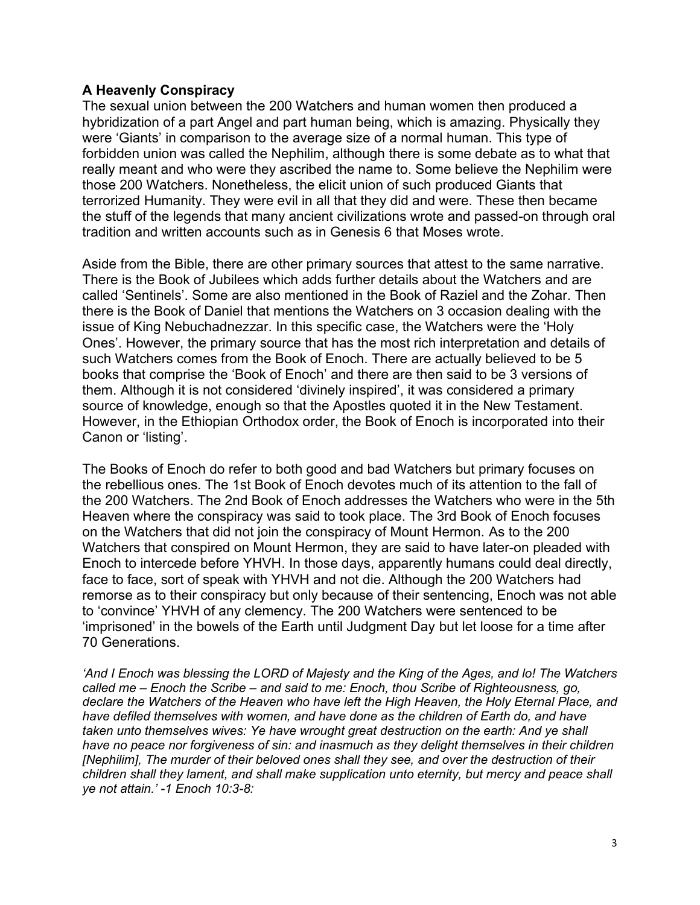#### **A Heavenly Conspiracy**

The sexual union between the 200 Watchers and human women then produced a hybridization of a part Angel and part human being, which is amazing. Physically they were 'Giants' in comparison to the average size of a normal human. This type of forbidden union was called the Nephilim, although there is some debate as to what that really meant and who were they ascribed the name to. Some believe the Nephilim were those 200 Watchers. Nonetheless, the elicit union of such produced Giants that terrorized Humanity. They were evil in all that they did and were. These then became the stuff of the legends that many ancient civilizations wrote and passed-on through oral tradition and written accounts such as in Genesis 6 that Moses wrote.

Aside from the Bible, there are other primary sources that attest to the same narrative. There is the Book of Jubilees which adds further details about the Watchers and are called 'Sentinels'. Some are also mentioned in the Book of Raziel and the Zohar. Then there is the Book of Daniel that mentions the Watchers on 3 occasion dealing with the issue of King Nebuchadnezzar. In this specific case, the Watchers were the 'Holy Ones'. However, the primary source that has the most rich interpretation and details of such Watchers comes from the Book of Enoch. There are actually believed to be 5 books that comprise the 'Book of Enoch' and there are then said to be 3 versions of them. Although it is not considered 'divinely inspired', it was considered a primary source of knowledge, enough so that the Apostles quoted it in the New Testament. However, in the Ethiopian Orthodox order, the Book of Enoch is incorporated into their Canon or 'listing'.

The Books of Enoch do refer to both good and bad Watchers but primary focuses on the rebellious ones. The 1st Book of Enoch devotes much of its attention to the fall of the 200 Watchers. The 2nd Book of Enoch addresses the Watchers who were in the 5th Heaven where the conspiracy was said to took place. The 3rd Book of Enoch focuses on the Watchers that did not join the conspiracy of Mount Hermon. As to the 200 Watchers that conspired on Mount Hermon, they are said to have later-on pleaded with Enoch to intercede before YHVH. In those days, apparently humans could deal directly, face to face, sort of speak with YHVH and not die. Although the 200 Watchers had remorse as to their conspiracy but only because of their sentencing, Enoch was not able to 'convince' YHVH of any clemency. The 200 Watchers were sentenced to be 'imprisoned' in the bowels of the Earth until Judgment Day but let loose for a time after 70 Generations.

*'And I Enoch was blessing the LORD of Majesty and the King of the Ages, and lo! The Watchers called me – Enoch the Scribe – and said to me: Enoch, thou Scribe of Righteousness, go, declare the Watchers of the Heaven who have left the High Heaven, the Holy Eternal Place, and have defiled themselves with women, and have done as the children of Earth do, and have taken unto themselves wives: Ye have wrought great destruction on the earth: And ye shall have no peace nor forgiveness of sin: and inasmuch as they delight themselves in their children [Nephilim], The murder of their beloved ones shall they see, and over the destruction of their children shall they lament, and shall make supplication unto eternity, but mercy and peace shall ye not attain.' -1 Enoch 10:3-8:*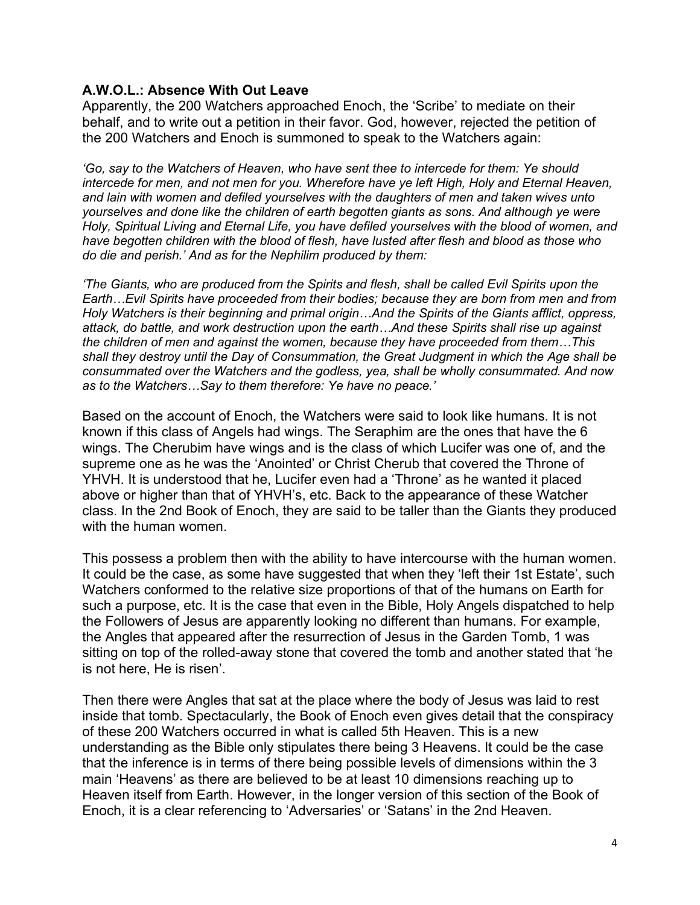#### **A.W.O.L.: Absence With Out Leave**

Apparently, the 200 Watchers approached Enoch, the 'Scribe' to mediate on their behalf, and to write out a petition in their favor. God, however, rejected the petition of the 200 Watchers and Enoch is summoned to speak to the Watchers again:

*'Go, say to the Watchers of Heaven, who have sent thee to intercede for them: Ye should intercede for men, and not men for you. Wherefore have ye left High, Holy and Eternal Heaven, and lain with women and defiled yourselves with the daughters of men and taken wives unto yourselves and done like the children of earth begotten giants as sons. And although ye were Holy, Spiritual Living and Eternal Life, you have defiled yourselves with the blood of women, and have begotten children with the blood of flesh, have lusted after flesh and blood as those who do die and perish.' And as for the Nephilim produced by them:* 

*'The Giants, who are produced from the Spirits and flesh, shall be called Evil Spirits upon the Earth…Evil Spirits have proceeded from their bodies; because they are born from men and from Holy Watchers is their beginning and primal origin…And the Spirits of the Giants afflict, oppress, attack, do battle, and work destruction upon the earth…And these Spirits shall rise up against the children of men and against the women, because they have proceeded from them…This shall they destroy until the Day of Consummation, the Great Judgment in which the Age shall be consummated over the Watchers and the godless, yea, shall be wholly consummated. And now as to the Watchers…Say to them therefore: Ye have no peace.'*

Based on the account of Enoch, the Watchers were said to look like humans. It is not known if this class of Angels had wings. The Seraphim are the ones that have the 6 wings. The Cherubim have wings and is the class of which Lucifer was one of, and the supreme one as he was the 'Anointed' or Christ Cherub that covered the Throne of YHVH. It is understood that he, Lucifer even had a 'Throne' as he wanted it placed above or higher than that of YHVH's, etc. Back to the appearance of these Watcher class. In the 2nd Book of Enoch, they are said to be taller than the Giants they produced with the human women.

This possess a problem then with the ability to have intercourse with the human women. It could be the case, as some have suggested that when they 'left their 1st Estate', such Watchers conformed to the relative size proportions of that of the humans on Earth for such a purpose, etc. It is the case that even in the Bible, Holy Angels dispatched to help the Followers of Jesus are apparently looking no different than humans. For example, the Angles that appeared after the resurrection of Jesus in the Garden Tomb, 1 was sitting on top of the rolled-away stone that covered the tomb and another stated that 'he is not here, He is risen'.

Then there were Angles that sat at the place where the body of Jesus was laid to rest inside that tomb. Spectacularly, the Book of Enoch even gives detail that the conspiracy of these 200 Watchers occurred in what is called 5th Heaven. This is a new understanding as the Bible only stipulates there being 3 Heavens. It could be the case that the inference is in terms of there being possible levels of dimensions within the 3 main 'Heavens' as there are believed to be at least 10 dimensions reaching up to Heaven itself from Earth. However, in the longer version of this section of the Book of Enoch, it is a clear referencing to 'Adversaries' or 'Satans' in the 2nd Heaven.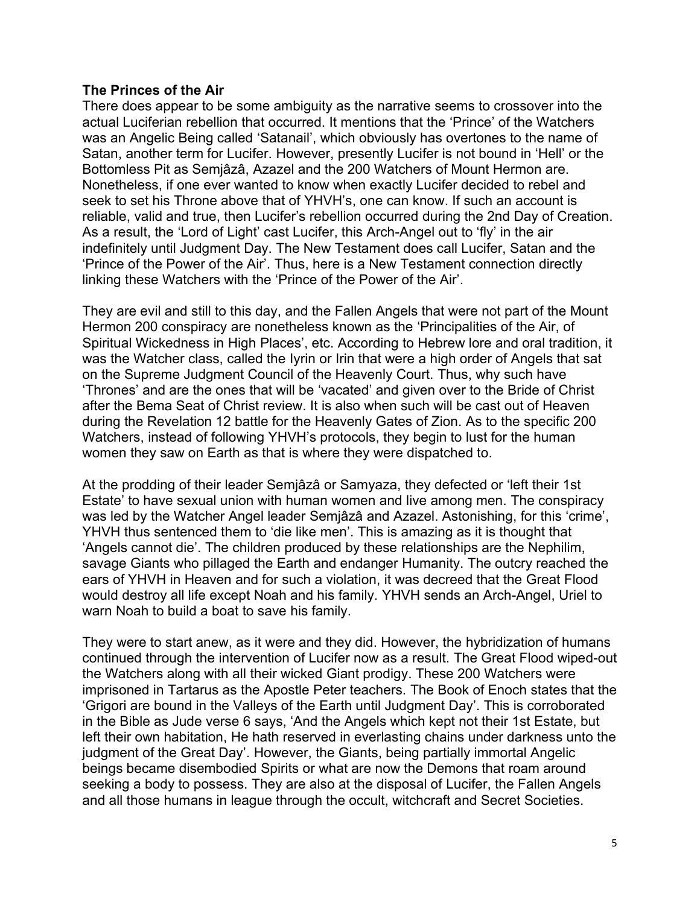#### **The Princes of the Air**

There does appear to be some ambiguity as the narrative seems to crossover into the actual Luciferian rebellion that occurred. It mentions that the 'Prince' of the Watchers was an Angelic Being called 'Satanail', which obviously has overtones to the name of Satan, another term for Lucifer. However, presently Lucifer is not bound in 'Hell' or the Bottomless Pit as Semjâzâ, Azazel and the 200 Watchers of Mount Hermon are. Nonetheless, if one ever wanted to know when exactly Lucifer decided to rebel and seek to set his Throne above that of YHVH's, one can know. If such an account is reliable, valid and true, then Lucifer's rebellion occurred during the 2nd Day of Creation. As a result, the 'Lord of Light' cast Lucifer, this Arch-Angel out to 'fly' in the air indefinitely until Judgment Day. The New Testament does call Lucifer, Satan and the 'Prince of the Power of the Air'. Thus, here is a New Testament connection directly linking these Watchers with the 'Prince of the Power of the Air'.

They are evil and still to this day, and the Fallen Angels that were not part of the Mount Hermon 200 conspiracy are nonetheless known as the 'Principalities of the Air, of Spiritual Wickedness in High Places', etc. According to Hebrew lore and oral tradition, it was the Watcher class, called the Iyrin or Irin that were a high order of Angels that sat on the Supreme Judgment Council of the Heavenly Court. Thus, why such have 'Thrones' and are the ones that will be 'vacated' and given over to the Bride of Christ after the Bema Seat of Christ review. It is also when such will be cast out of Heaven during the Revelation 12 battle for the Heavenly Gates of Zion. As to the specific 200 Watchers, instead of following YHVH's protocols, they begin to lust for the human women they saw on Earth as that is where they were dispatched to.

At the prodding of their leader Semjâzâ or Samyaza, they defected or 'left their 1st Estate' to have sexual union with human women and live among men. The conspiracy was led by the Watcher Angel leader Semjâzâ and Azazel. Astonishing, for this 'crime', YHVH thus sentenced them to 'die like men'. This is amazing as it is thought that 'Angels cannot die'. The children produced by these relationships are the Nephilim, savage Giants who pillaged the Earth and endanger Humanity. The outcry reached the ears of YHVH in Heaven and for such a violation, it was decreed that the Great Flood would destroy all life except Noah and his family. YHVH sends an Arch-Angel, Uriel to warn Noah to build a boat to save his family.

They were to start anew, as it were and they did. However, the hybridization of humans continued through the intervention of Lucifer now as a result. The Great Flood wiped-out the Watchers along with all their wicked Giant prodigy. These 200 Watchers were imprisoned in Tartarus as the Apostle Peter teachers. The Book of Enoch states that the 'Grigori are bound in the Valleys of the Earth until Judgment Day'. This is corroborated in the Bible as Jude verse 6 says, 'And the Angels which kept not their 1st Estate, but left their own habitation, He hath reserved in everlasting chains under darkness unto the judgment of the Great Day'. However, the Giants, being partially immortal Angelic beings became disembodied Spirits or what are now the Demons that roam around seeking a body to possess. They are also at the disposal of Lucifer, the Fallen Angels and all those humans in league through the occult, witchcraft and Secret Societies.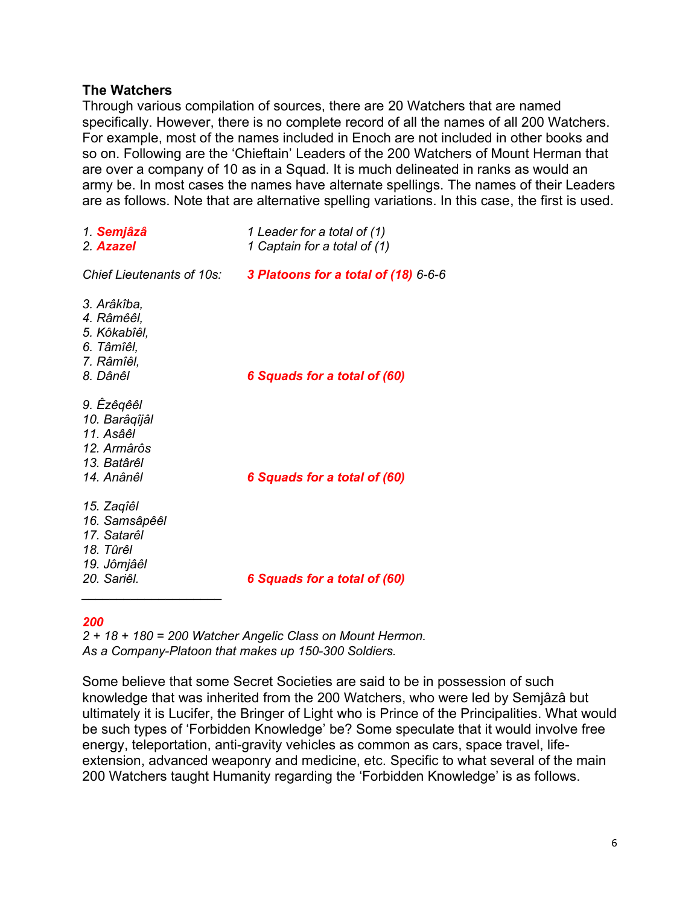#### **The Watchers**

Through various compilation of sources, there are 20 Watchers that are named specifically. However, there is no complete record of all the names of all 200 Watchers. For example, most of the names included in Enoch are not included in other books and so on. Following are the 'Chieftain' Leaders of the 200 Watchers of Mount Herman that are over a company of 10 as in a Squad. It is much delineated in ranks as would an army be. In most cases the names have alternate spellings. The names of their Leaders are as follows. Note that are alternative spelling variations. In this case, the first is used.

| 1. Semjâzâ<br>2. Azazel                                                               | 1 Leader for a total of (1)<br>1 Captain for a total of (1) |
|---------------------------------------------------------------------------------------|-------------------------------------------------------------|
| Chief Lieutenants of 10s:                                                             | 3 Platoons for a total of (18) 6-6-6                        |
| 3. Arâkîba,<br>4. Râmêêl,<br>5. Kôkabîêl,<br>6. Tâmîêl,<br>7. Râmîêl,<br>8. Dânêl     | 6 Squads for a total of (60)                                |
| 9. Êzêqêêl<br>10. Barâqîjâl<br>11. Asâêl<br>12. Armârôs<br>13. Batârêl<br>14. Anânêl  | 6 Squads for a total of (60)                                |
| 15. Zaqîêl<br>16. Samsâpêêl<br>17. Satarêl<br>18. Tûrêl<br>19. Jômjâêl<br>20. Sariêl. | 6 Squads for a total of (60)                                |

#### *200*

*2 + 18 + 180 = 200 Watcher Angelic Class on Mount Hermon. As a Company-Platoon that makes up 150-300 Soldiers.* 

Some believe that some Secret Societies are said to be in possession of such knowledge that was inherited from the 200 Watchers, who were led by Semjâzâ but ultimately it is Lucifer, the Bringer of Light who is Prince of the Principalities. What would be such types of 'Forbidden Knowledge' be? Some speculate that it would involve free energy, teleportation, anti-gravity vehicles as common as cars, space travel, lifeextension, advanced weaponry and medicine, etc. Specific to what several of the main 200 Watchers taught Humanity regarding the 'Forbidden Knowledge' is as follows.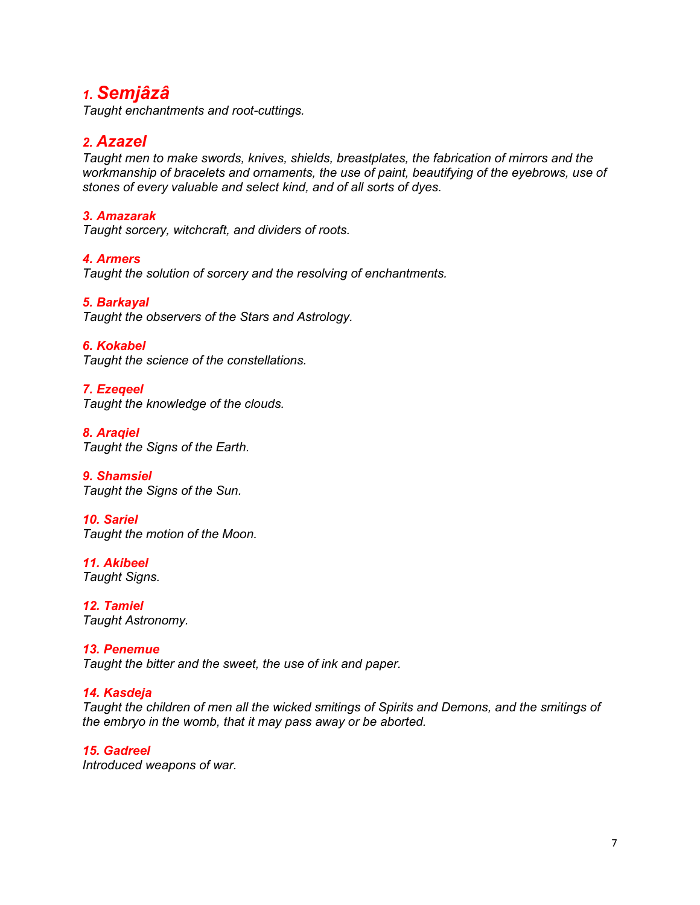## *1. Semjâzâ*

*Taught enchantments and root-cuttings.*

### *2. Azazel*

*Taught men to make swords, knives, shields, breastplates, the fabrication of mirrors and the workmanship of bracelets and ornaments, the use of paint, beautifying of the eyebrows, use of stones of every valuable and select kind, and of all sorts of dyes.*

#### *3. Amazarak*

*Taught sorcery, witchcraft, and dividers of roots.* 

#### *4. Armers*

*Taught the solution of sorcery and the resolving of enchantments.*

#### *5. Barkayal*

*Taught the observers of the Stars and Astrology.*

*6. Kokabel* 

*Taught the science of the constellations.*

#### *7. Ezeqeel Taught the knowledge of the clouds.*

*8. Araqiel Taught the Signs of the Earth.*

*9. Shamsiel Taught the Signs of the Sun.*

*10. Sariel Taught the motion of the Moon.*

*11. Akibeel Taught Signs.*

*12. Tamiel Taught Astronomy.*

*13. Penemue Taught the bitter and the sweet, the use of ink and paper.*

#### *14. Kasdeja*

*Taught the children of men all the wicked smitings of Spirits and Demons, and the smitings of the embryo in the womb, that it may pass away or be aborted.*

*15. Gadreel Introduced weapons of war.*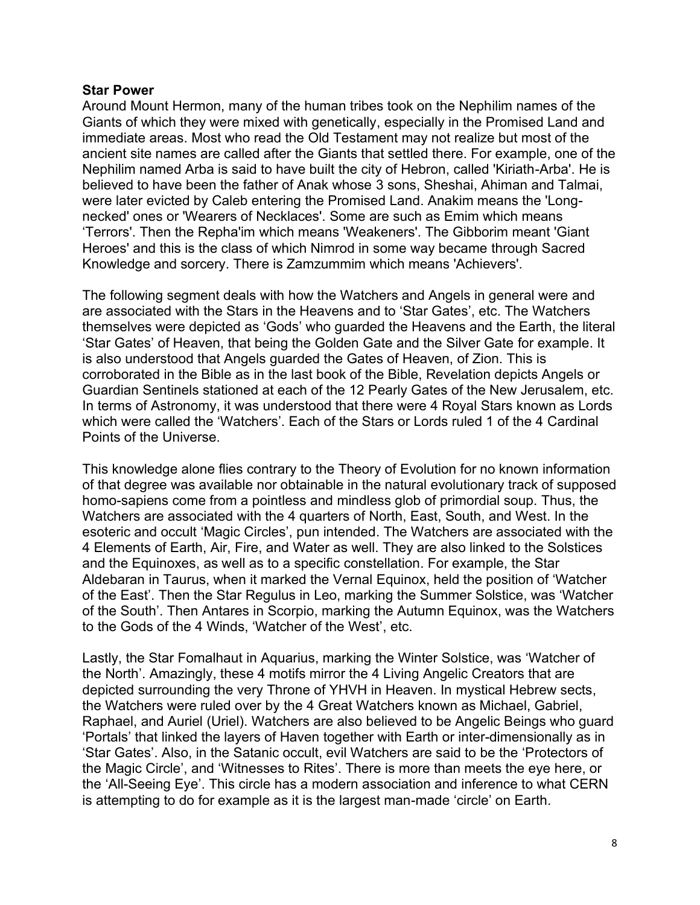#### **Star Power**

Around Mount Hermon, many of the human tribes took on the Nephilim names of the Giants of which they were mixed with genetically, especially in the Promised Land and immediate areas. Most who read the Old Testament may not realize but most of the ancient site names are called after the Giants that settled there. For example, one of the Nephilim named Arba is said to have built the city of Hebron, called 'Kiriath-Arba'. He is believed to have been the father of Anak whose 3 sons, Sheshai, Ahiman and Talmai, were later evicted by Caleb entering the Promised Land. Anakim means the 'Longnecked' ones or 'Wearers of Necklaces'. Some are such as Emim which means 'Terrors'. Then the Repha'im which means 'Weakeners'. The Gibborim meant 'Giant Heroes' and this is the class of which Nimrod in some way became through Sacred Knowledge and sorcery. There is Zamzummim which means 'Achievers'.

The following segment deals with how the Watchers and Angels in general were and are associated with the Stars in the Heavens and to 'Star Gates', etc. The Watchers themselves were depicted as 'Gods' who guarded the Heavens and the Earth, the literal 'Star Gates' of Heaven, that being the Golden Gate and the Silver Gate for example. It is also understood that Angels guarded the Gates of Heaven, of Zion. This is corroborated in the Bible as in the last book of the Bible, Revelation depicts Angels or Guardian Sentinels stationed at each of the 12 Pearly Gates of the New Jerusalem, etc. In terms of Astronomy, it was understood that there were 4 Royal Stars known as Lords which were called the 'Watchers'. Each of the Stars or Lords ruled 1 of the 4 Cardinal Points of the Universe.

This knowledge alone flies contrary to the Theory of Evolution for no known information of that degree was available nor obtainable in the natural evolutionary track of supposed homo-sapiens come from a pointless and mindless glob of primordial soup. Thus, the Watchers are associated with the 4 quarters of North, East, South, and West. In the esoteric and occult 'Magic Circles', pun intended. The Watchers are associated with the 4 Elements of Earth, Air, Fire, and Water as well. They are also linked to the Solstices and the Equinoxes, as well as to a specific constellation. For example, the Star Aldebaran in Taurus, when it marked the Vernal Equinox, held the position of 'Watcher of the East'. Then the Star Regulus in Leo, marking the Summer Solstice, was 'Watcher of the South'. Then Antares in Scorpio, marking the Autumn Equinox, was the Watchers to the Gods of the 4 Winds, 'Watcher of the West', etc.

Lastly, the Star Fomalhaut in Aquarius, marking the Winter Solstice, was 'Watcher of the North'. Amazingly, these 4 motifs mirror the 4 Living Angelic Creators that are depicted surrounding the very Throne of YHVH in Heaven. In mystical Hebrew sects, the Watchers were ruled over by the 4 Great Watchers known as Michael, Gabriel, Raphael, and Auriel (Uriel). Watchers are also believed to be Angelic Beings who guard 'Portals' that linked the layers of Haven together with Earth or inter-dimensionally as in 'Star Gates'. Also, in the Satanic occult, evil Watchers are said to be the 'Protectors of the Magic Circle', and 'Witnesses to Rites'. There is more than meets the eye here, or the 'All-Seeing Eye'. This circle has a modern association and inference to what CERN is attempting to do for example as it is the largest man-made 'circle' on Earth.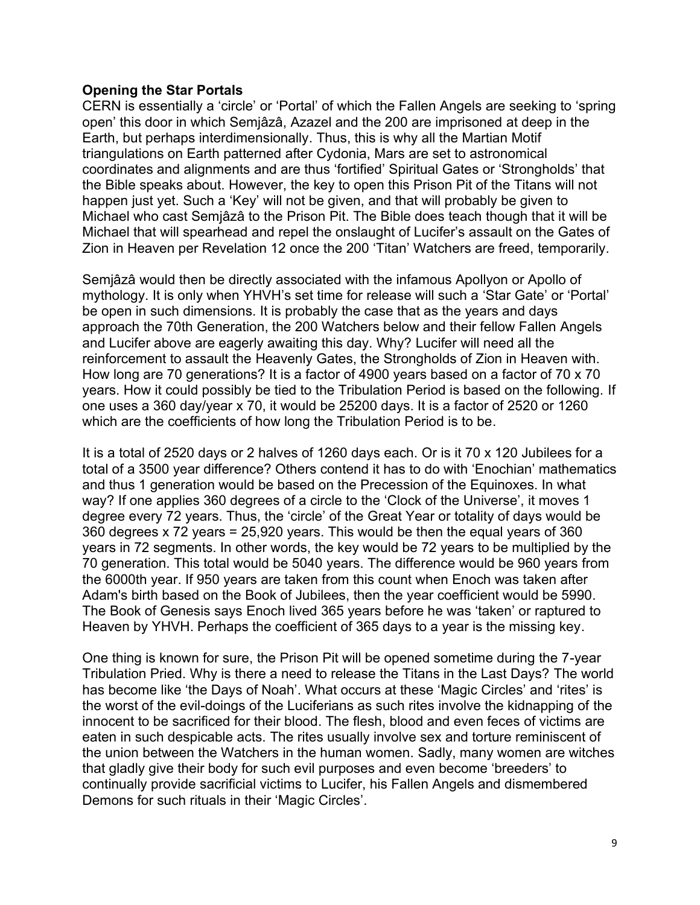#### **Opening the Star Portals**

CERN is essentially a 'circle' or 'Portal' of which the Fallen Angels are seeking to 'spring open' this door in which Semjâzâ, Azazel and the 200 are imprisoned at deep in the Earth, but perhaps interdimensionally. Thus, this is why all the Martian Motif triangulations on Earth patterned after Cydonia, Mars are set to astronomical coordinates and alignments and are thus 'fortified' Spiritual Gates or 'Strongholds' that the Bible speaks about. However, the key to open this Prison Pit of the Titans will not happen just yet. Such a 'Key' will not be given, and that will probably be given to Michael who cast Semjâzâ to the Prison Pit. The Bible does teach though that it will be Michael that will spearhead and repel the onslaught of Lucifer's assault on the Gates of Zion in Heaven per Revelation 12 once the 200 'Titan' Watchers are freed, temporarily.

Semjâzâ would then be directly associated with the infamous Apollyon or Apollo of mythology. It is only when YHVH's set time for release will such a 'Star Gate' or 'Portal' be open in such dimensions. It is probably the case that as the years and days approach the 70th Generation, the 200 Watchers below and their fellow Fallen Angels and Lucifer above are eagerly awaiting this day. Why? Lucifer will need all the reinforcement to assault the Heavenly Gates, the Strongholds of Zion in Heaven with. How long are 70 generations? It is a factor of 4900 years based on a factor of 70 x 70 years. How it could possibly be tied to the Tribulation Period is based on the following. If one uses a 360 day/year x 70, it would be 25200 days. It is a factor of 2520 or 1260 which are the coefficients of how long the Tribulation Period is to be.

It is a total of 2520 days or 2 halves of 1260 days each. Or is it 70 x 120 Jubilees for a total of a 3500 year difference? Others contend it has to do with 'Enochian' mathematics and thus 1 generation would be based on the Precession of the Equinoxes. In what way? If one applies 360 degrees of a circle to the 'Clock of the Universe', it moves 1 degree every 72 years. Thus, the 'circle' of the Great Year or totality of days would be 360 degrees x 72 years = 25,920 years. This would be then the equal years of 360 years in 72 segments. In other words, the key would be 72 years to be multiplied by the 70 generation. This total would be 5040 years. The difference would be 960 years from the 6000th year. If 950 years are taken from this count when Enoch was taken after Adam's birth based on the Book of Jubilees, then the year coefficient would be 5990. The Book of Genesis says Enoch lived 365 years before he was 'taken' or raptured to Heaven by YHVH. Perhaps the coefficient of 365 days to a year is the missing key.

One thing is known for sure, the Prison Pit will be opened sometime during the 7-year Tribulation Pried. Why is there a need to release the Titans in the Last Days? The world has become like 'the Days of Noah'. What occurs at these 'Magic Circles' and 'rites' is the worst of the evil-doings of the Luciferians as such rites involve the kidnapping of the innocent to be sacrificed for their blood. The flesh, blood and even feces of victims are eaten in such despicable acts. The rites usually involve sex and torture reminiscent of the union between the Watchers in the human women. Sadly, many women are witches that gladly give their body for such evil purposes and even become 'breeders' to continually provide sacrificial victims to Lucifer, his Fallen Angels and dismembered Demons for such rituals in their 'Magic Circles'.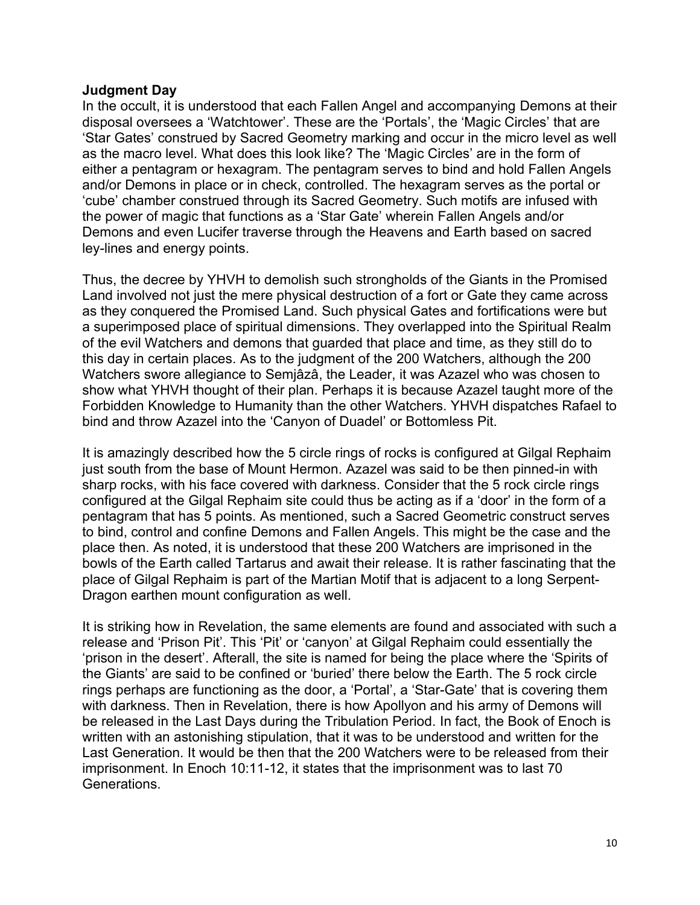#### **Judgment Day**

In the occult, it is understood that each Fallen Angel and accompanying Demons at their disposal oversees a 'Watchtower'. These are the 'Portals', the 'Magic Circles' that are 'Star Gates' construed by Sacred Geometry marking and occur in the micro level as well as the macro level. What does this look like? The 'Magic Circles' are in the form of either a pentagram or hexagram. The pentagram serves to bind and hold Fallen Angels and/or Demons in place or in check, controlled. The hexagram serves as the portal or 'cube' chamber construed through its Sacred Geometry. Such motifs are infused with the power of magic that functions as a 'Star Gate' wherein Fallen Angels and/or Demons and even Lucifer traverse through the Heavens and Earth based on sacred ley-lines and energy points.

Thus, the decree by YHVH to demolish such strongholds of the Giants in the Promised Land involved not just the mere physical destruction of a fort or Gate they came across as they conquered the Promised Land. Such physical Gates and fortifications were but a superimposed place of spiritual dimensions. They overlapped into the Spiritual Realm of the evil Watchers and demons that guarded that place and time, as they still do to this day in certain places. As to the judgment of the 200 Watchers, although the 200 Watchers swore allegiance to Semjâzâ, the Leader, it was Azazel who was chosen to show what YHVH thought of their plan. Perhaps it is because Azazel taught more of the Forbidden Knowledge to Humanity than the other Watchers. YHVH dispatches Rafael to bind and throw Azazel into the 'Canyon of Duadel' or Bottomless Pit.

It is amazingly described how the 5 circle rings of rocks is configured at Gilgal Rephaim just south from the base of Mount Hermon. Azazel was said to be then pinned-in with sharp rocks, with his face covered with darkness. Consider that the 5 rock circle rings configured at the Gilgal Rephaim site could thus be acting as if a 'door' in the form of a pentagram that has 5 points. As mentioned, such a Sacred Geometric construct serves to bind, control and confine Demons and Fallen Angels. This might be the case and the place then. As noted, it is understood that these 200 Watchers are imprisoned in the bowls of the Earth called Tartarus and await their release. It is rather fascinating that the place of Gilgal Rephaim is part of the Martian Motif that is adjacent to a long Serpent-Dragon earthen mount configuration as well.

It is striking how in Revelation, the same elements are found and associated with such a release and 'Prison Pit'. This 'Pit' or 'canyon' at Gilgal Rephaim could essentially the 'prison in the desert'. Afterall, the site is named for being the place where the 'Spirits of the Giants' are said to be confined or 'buried' there below the Earth. The 5 rock circle rings perhaps are functioning as the door, a 'Portal', a 'Star-Gate' that is covering them with darkness. Then in Revelation, there is how Apollyon and his army of Demons will be released in the Last Days during the Tribulation Period. In fact, the Book of Enoch is written with an astonishing stipulation, that it was to be understood and written for the Last Generation. It would be then that the 200 Watchers were to be released from their imprisonment. In Enoch 10:11-12, it states that the imprisonment was to last 70 Generations.